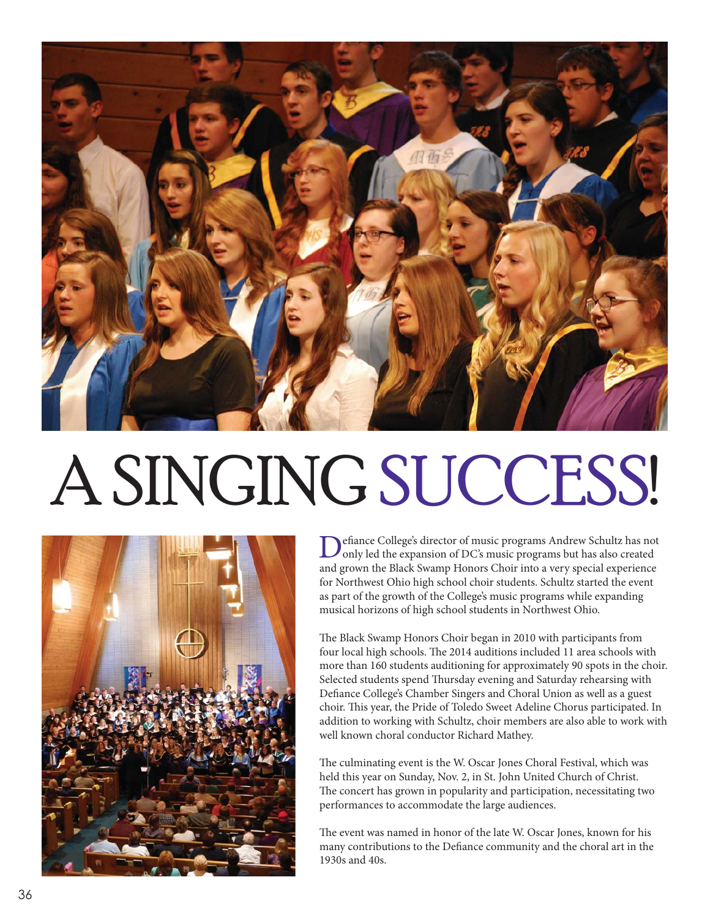

## A SINGING SUCCESS!



Defiance College's director of music programs Andrew Schultz has not only led the expansion of DC's music programs but has also created and grown the Black Swamp Honors Choir into a very special experience for Northwest Ohio high school choir students. Schultz started the event as part of the growth of the College's music programs while expanding musical horizons of high school students in Northwest Ohio.

The Black Swamp Honors Choir began in 2010 with participants from four local high schools. The 2014 auditions included 11 area schools with more than 160 students auditioning for approximately 90 spots in the choir. Selected students spend Thursday evening and Saturday rehearsing with Defiance College's Chamber Singers and Choral Union as well as a guest choir. This year, the Pride of Toledo Sweet Adeline Chorus participated. In addition to working with Schultz, choir members are also able to work with well known choral conductor Richard Mathey.

The culminating event is the W. Oscar Jones Choral Festival, which was held this year on Sunday, Nov. 2, in St. John United Church of Christ. The concert has grown in popularity and participation, necessitating two performances to accommodate the large audiences.

The event was named in honor of the late W. Oscar Jones, known for his many contributions to the Defiance community and the choral art in the 1930s and 40s.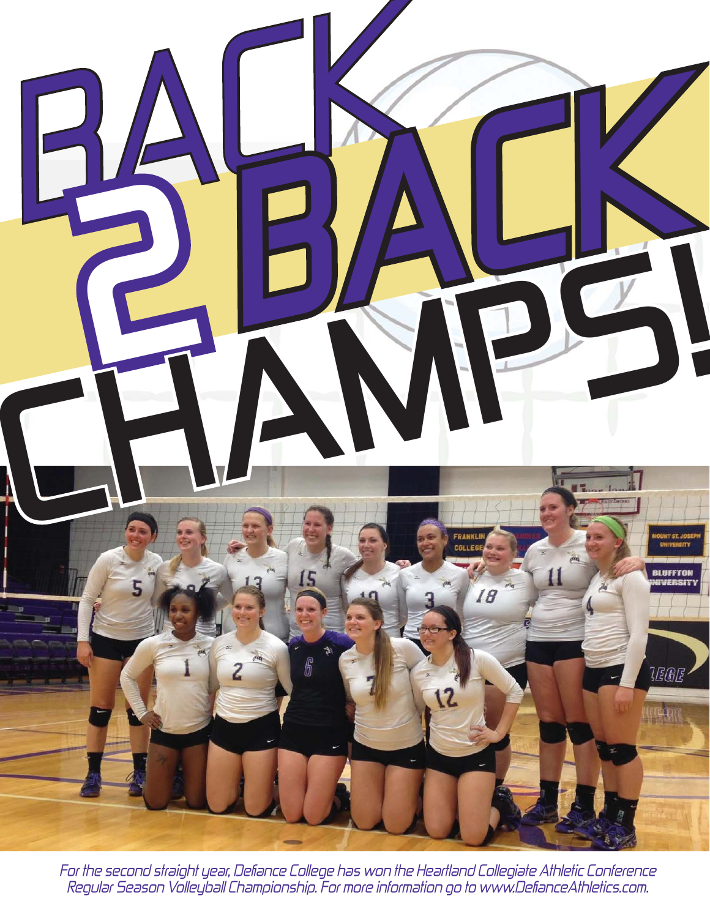

For the second straight year, Defiance College has won the Heartland Collegiate Athletic Conference Regular Season Volleyball Championship. For more information go to www.DefianceAthletics.com.